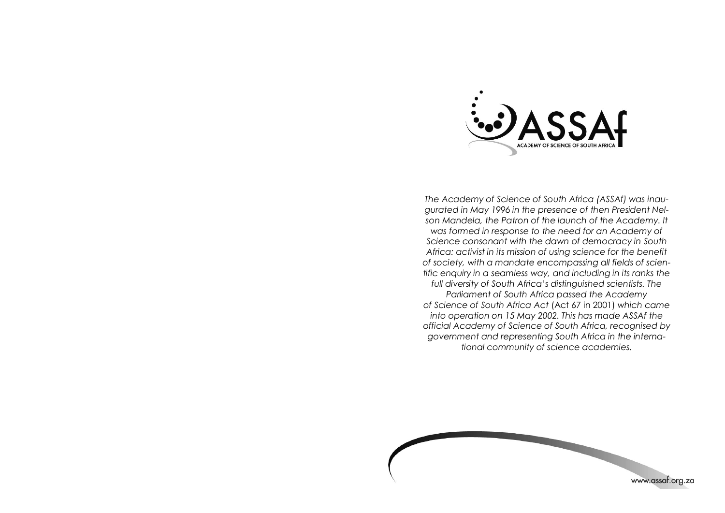

*The Academy of Science of South Africa (ASSAf) was inaugurated in May 1996 in the presence of then President Nelson Mandela, the Patron of the launch of the Academy. It was formed in response to the need for an Academy of Science consonant with the dawn of democracy in South Africa: activist in its mission of using science for the benefit of society, with a mandate encompassing all fields of scientific enquiry in a seamless way, and including in its ranks the full diversity of South Africa's distinguished scientists. The Parliament of South Africa passed the Academy of Science of South Africa Act* (Act 67 in 2001) *which came into operation on 15 May 2002. This has made ASSAf the official Academy of Science of South Africa, recognised by government and representing South Africa in the international community of science academies.*

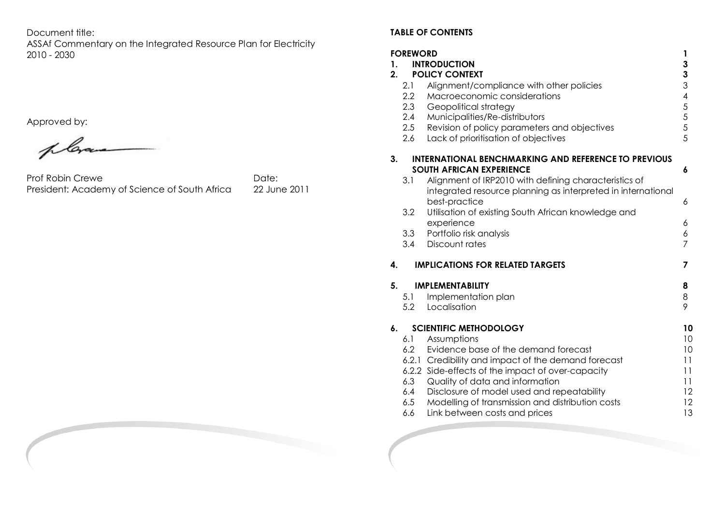Document title:

ASSAf Commentary on the Integrated Resource Plan for Electricity 2010 - 2030

Approved by:

plan

Prof Robin Crewe<br>President: Academy of Science of South Africa 22 June 2011 President: Academy of Science of South Africa

## **TABLE OF CONTENTS**

| <b>FOREWORD</b><br>1<br>3<br><b>INTRODUCTION</b><br>1.<br>$\overline{\mathbf{3}}$<br><b>POLICY CONTEXT</b><br>2 <sub>1</sub> |                                        |                                                                                                                                                                                                                                                                                                                                               |                                                                       |  |
|------------------------------------------------------------------------------------------------------------------------------|----------------------------------------|-----------------------------------------------------------------------------------------------------------------------------------------------------------------------------------------------------------------------------------------------------------------------------------------------------------------------------------------------|-----------------------------------------------------------------------|--|
|                                                                                                                              | 2.1<br>2.2<br>2.3<br>2.4<br>2.5<br>2.6 | Alignment/compliance with other policies<br>Macroeconomic considerations<br>Geopolitical strategy<br>Municipalities/Re-distributors<br>Revision of policy parameters and objectives<br>Lack of prioritisation of objectives                                                                                                                   | $\mathfrak{S}$<br>$\overline{\mathcal{A}}$<br>5<br>$\frac{5}{5}$<br>5 |  |
| 3.                                                                                                                           |                                        | <b>INTERNATIONAL BENCHMARKING AND REFERENCE TO PREVIOUS</b><br><b>SOUTH AFRICAN EXPERIENCE</b>                                                                                                                                                                                                                                                | 6                                                                     |  |
|                                                                                                                              | 3.1                                    | Alignment of IRP2010 with defining characteristics of<br>integrated resource planning as interpreted in international<br>best-practice                                                                                                                                                                                                        | 6                                                                     |  |
|                                                                                                                              | 3.2                                    | Utilisation of existing South African knowledge and<br>experience                                                                                                                                                                                                                                                                             | 6                                                                     |  |
|                                                                                                                              | 3.3<br>3.4                             | Portfolio risk analysis<br>Discount rates                                                                                                                                                                                                                                                                                                     | 6<br>$\overline{7}$                                                   |  |
| 4.                                                                                                                           |                                        | <b>IMPLICATIONS FOR RELATED TARGETS</b>                                                                                                                                                                                                                                                                                                       | 7                                                                     |  |
| 5.                                                                                                                           | 5.1<br>5.2                             | <b>IMPLEMENTABILITY</b><br>Implementation plan<br>Localisation                                                                                                                                                                                                                                                                                | 8<br>8<br>9                                                           |  |
| 6.                                                                                                                           | <b>SCIENTIFIC METHODOLOGY</b>          |                                                                                                                                                                                                                                                                                                                                               |                                                                       |  |
|                                                                                                                              | 6.3<br>6.4<br>6.5<br>6.6               | 6.1 Assumptions<br>6.2 Evidence base of the demand forecast<br>6.2.1 Credibility and impact of the demand forecast<br>6.2.2 Side-effects of the impact of over-capacity<br>Quality of data and information<br>Disclosure of model used and repeatability<br>Modelling of transmission and distribution costs<br>Link between costs and prices | 10<br>10<br>11<br>11<br>11<br>12<br>12<br>13                          |  |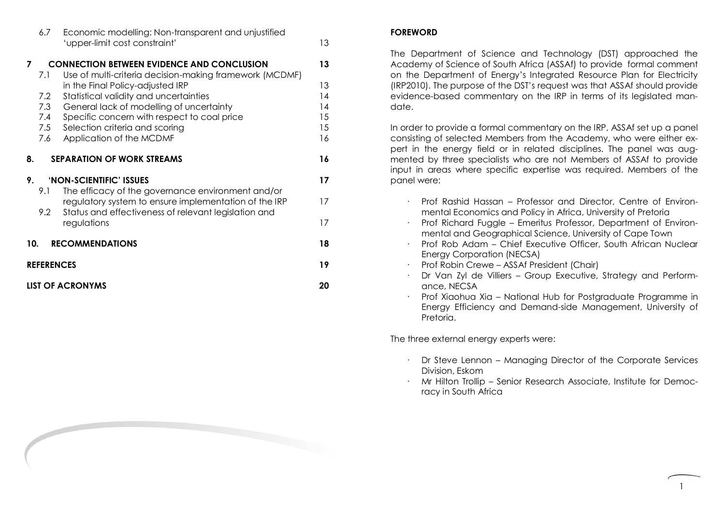|                               | 6.7                                    | Economic modelling: Non-transparent and unjustified<br>'upper-limit cost constraint'                                                                                                                                                                                                                                                                | 13                                     |  |  |
|-------------------------------|----------------------------------------|-----------------------------------------------------------------------------------------------------------------------------------------------------------------------------------------------------------------------------------------------------------------------------------------------------------------------------------------------------|----------------------------------------|--|--|
| $\overline{7}$                | 7.1<br>7.2<br>7.3<br>7.4<br>7.5<br>7.6 | <b>CONNECTION BETWEEN EVIDENCE AND CONCLUSION</b><br>Use of multi-criteria decision-making framework (MCDMF)<br>in the Final Policy-adjusted IRP<br>Statistical validity and uncertainties<br>General lack of modelling of uncertainty<br>Specific concern with respect to coal price<br>Selection criteria and scoring<br>Application of the MCDMF | 13<br>13<br>14<br>14<br>15<br>15<br>16 |  |  |
| 8.                            |                                        | <b>SEPARATION OF WORK STREAMS</b>                                                                                                                                                                                                                                                                                                                   | 16                                     |  |  |
| 'NON-SCIENTIFIC' ISSUES<br>9. |                                        |                                                                                                                                                                                                                                                                                                                                                     | 17                                     |  |  |
|                               | 9.1<br>9.2                             | The efficacy of the governance environment and/or<br>regulatory system to ensure implementation of the IRP<br>Status and effectiveness of relevant legislation and<br>regulations                                                                                                                                                                   | 17<br>17                               |  |  |
|                               |                                        |                                                                                                                                                                                                                                                                                                                                                     |                                        |  |  |
| <b>RECOMMENDATIONS</b><br>10. |                                        |                                                                                                                                                                                                                                                                                                                                                     | 18                                     |  |  |
| <b>REFERENCES</b>             |                                        |                                                                                                                                                                                                                                                                                                                                                     | 19                                     |  |  |
| <b>LIST OF ACRONYMS</b>       |                                        |                                                                                                                                                                                                                                                                                                                                                     | 20                                     |  |  |

## **FOREWORD**

The Department of Science and Technology (DST) approached the Academy of Science of South Africa (ASSAf) to provide formal comment on the Department of Energy's Integrated Resource Plan for Electricity (IRP2010). The purpose of the DST's request was that ASSAf should provide evidence-based commentary on the IRP in terms of its legislated mandate.

In order to provide a formal commentary on the IRP, ASSAf set up a panel consisting of selected Members from the Academy, who were either expert in the energy field or in related disciplines. The panel was augmented by three specialists who are not Members of ASSAf to provide input in areas where specific expertise was required. Members of the panel were:

- · Prof Rashid Hassan Professor and Director, Centre of Environmental Economics and Policy in Africa, University of Pretoria
- · Prof Richard Fuggle Emeritus Professor, Department of Environmental and Geographical Science, University of Cape Town
- · Prof Rob Adam Chief Executive Officer, South African Nuclear Energy Corporation (NECSA)
- · Prof Robin Crewe ASSAf President (Chair)
- · Dr Van Zyl de Villiers Group Executive, Strategy and Performance, NECSA
- · Prof Xiaohua Xia National Hub for Postgraduate Programme in Energy Efficiency and Demand-side Management, University of Pretoria.

The three external energy experts were:

- · Dr Steve Lennon Managing Director of the Corporate Services Division, Eskom
- · Mr Hilton Trollip Senior Research Associate, Institute for Democracy in South Africa

1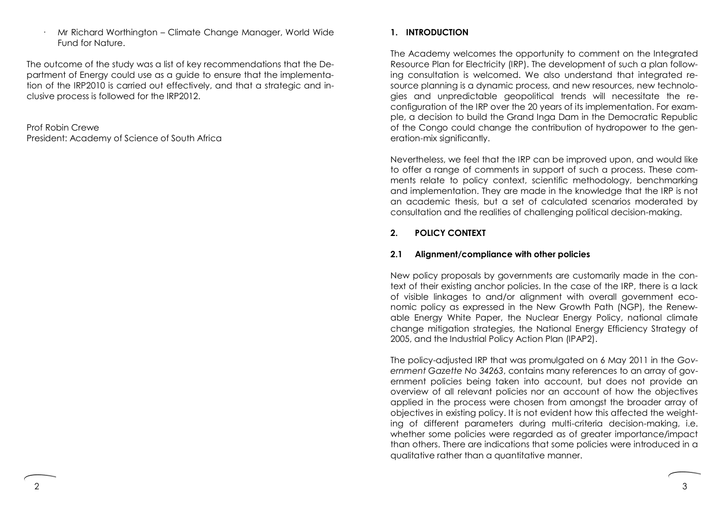· Mr Richard Worthington – Climate Change Manager, World Wide Fund for Nature.

The outcome of the study was a list of key recommendations that the Department of Energy could use as a guide to ensure that the implementation of the IRP2010 is carried out effectively, and that a strategic and inclusive process is followed for the IRP2012.

Prof Robin Crewe President: Academy of Science of South Africa

# **1. INTRODUCTION**

The Academy welcomes the opportunity to comment on the Integrated Resource Plan for Electricity (IRP). The development of such a plan following consultation is welcomed. We also understand that integrated resource planning is a dynamic process, and new resources, new technologies and unpredictable geopolitical trends will necessitate the reconfiguration of the IRP over the 20 years of its implementation. For example, a decision to build the Grand Inga Dam in the Democratic Republic of the Congo could change the contribution of hydropower to the generation-mix significantly.

Nevertheless, we feel that the IRP can be improved upon, and would like to offer a range of comments in support of such a process. These comments relate to policy context, scientific methodology, benchmarking and implementation. They are made in the knowledge that the IRP is not an academic thesis, but a set of calculated scenarios moderated by consultation and the realities of challenging political decision-making.

## **2. POLICY CONTEXT**

## **2.1 Alignment/compliance with other policies**

New policy proposals by governments are customarily made in the context of their existing anchor policies. In the case of the IRP, there is a lack of visible linkages to and/or alignment with overall government economic policy as expressed in the New Growth Path (NGP), the Renewable Energy White Paper, the Nuclear Energy Policy, national climate change mitigation strategies, the National Energy Efficiency Strategy of 2005, and the Industrial Policy Action Plan (IPAP2).

The policy-adjusted IRP that was promulgated on 6 May 2011 in the *Government Gazette No 34263*, contains many references to an array of government policies being taken into account, but does not provide an overview of all relevant policies nor an account of how the objectives applied in the process were chosen from amongst the broader array of objectives in existing policy. It is not evident how this affected the weighting of different parameters during multi-criteria decision-making, i.e. whether some policies were regarded as of greater importance/impact than others. There are indications that some policies were introduced in a qualitative rather than a quantitative manner.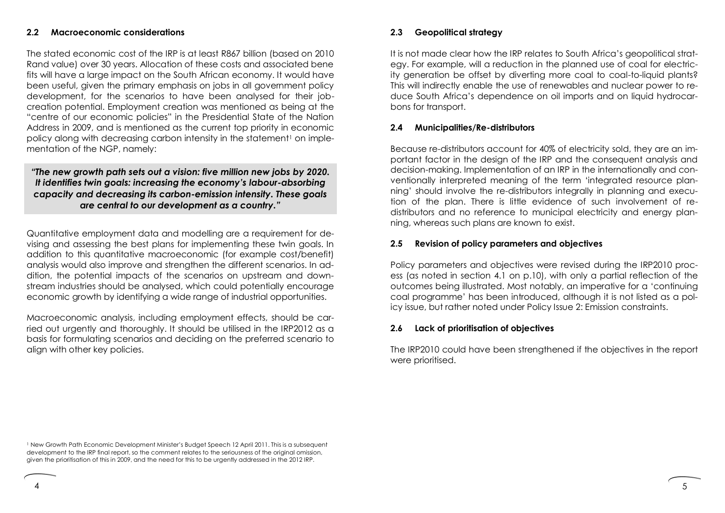### **2.2 Macroeconomic considerations**

The stated economic cost of the IRP is at least R867 billion (based on 2010 Rand value) over 30 years. Allocation of these costs and associated bene fits will have a large impact on the South African economy. It would have been useful, given the primary emphasis on jobs in all government policy development, for the scenarios to have been analysed for their jobcreation potential. Employment creation was mentioned as being at the "centre of our economic policies" in the Presidential State of the Nation Address in 2009, and is mentioned as the current top priority in economic policy along with decreasing carbon intensity in the statement<sup>1</sup> on implementation of the NGP, namely:

## *"The new growth path sets out a vision: five million new jobs by 2020. It identifies twin goals: increasing the economy's labour-absorbing capacity and decreasing its carbon-emission intensity. These goals are central to our development as a country."*

Quantitative employment data and modelling are a requirement for devising and assessing the best plans for implementing these twin goals. In addition to this quantitative macroeconomic (for example cost/benefit) analysis would also improve and strengthen the different scenarios. In addition, the potential impacts of the scenarios on upstream and downstream industries should be analysed, which could potentially encourage economic growth by identifying a wide range of industrial opportunities.

Macroeconomic analysis, including employment effects, should be carried out urgently and thoroughly. It should be utilised in the IRP2012 as a basis for formulating scenarios and deciding on the preferred scenario to align with other key policies.

### **2.3 Geopolitical strategy**

It is not made clear how the IRP relates to South Africa's geopolitical strategy. For example, will a reduction in the planned use of coal for electricity generation be offset by diverting more coal to coal-to-liquid plants? This will indirectly enable the use of renewables and nuclear power to reduce South Africa's dependence on oil imports and on liquid hydrocarbons for transport.

#### **2.4 Municipalities/Re-distributors**

Because re-distributors account for 40% of electricity sold, they are an important factor in the design of the IRP and the consequent analysis and decision-making. Implementation of an IRP in the internationally and conventionally interpreted meaning of the term 'integrated resource planning' should involve the re-distributors integrally in planning and execution of the plan. There is little evidence of such involvement of redistributors and no reference to municipal electricity and energy planning, whereas such plans are known to exist.

#### **2.5 Revision of policy parameters and objectives**

Policy parameters and objectives were revised during the IRP2010 process (as noted in section 4.1 on p.10), with only a partial reflection of the outcomes being illustrated. Most notably, an imperative for a 'continuing coal programme' has been introduced, although it is not listed as a policy issue, but rather noted under Policy Issue 2: Emission constraints.

#### **2.6 Lack of prioritisation of objectives**

The IRP2010 could have been strengthened if the objectives in the report were prioritised.

<sup>1</sup> New Growth Path Economic Development Minister's Budget Speech 12 April 2011. This is a subsequent development to the IRP final report, so the comment relates to the seriousness of the original omission, given the prioritisation of this in 2009, and the need for this to be urgently addressed in the 2012 IRP.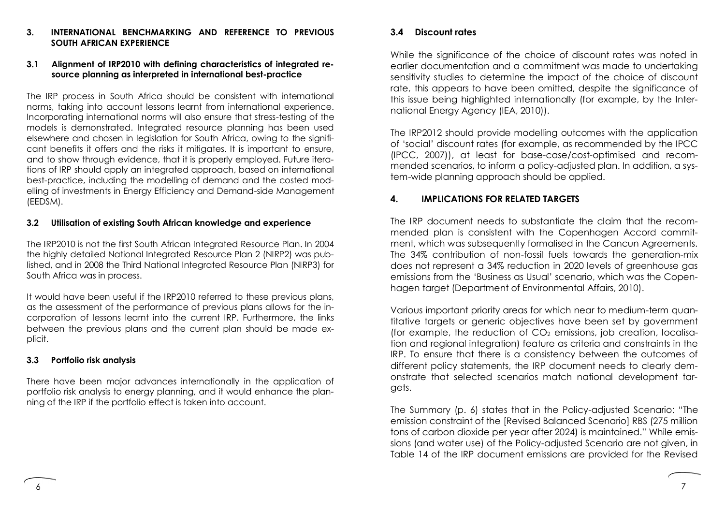### **3. INTERNATIONAL BENCHMARKING AND REFERENCE TO PREVIOUS SOUTH AFRICAN EXPERIENCE**

### **3.1 Alignment of IRP2010 with defining characteristics of integrated resource planning as interpreted in international best-practice**

The IRP process in South Africa should be consistent with international norms, taking into account lessons learnt from international experience. Incorporating international norms will also ensure that stress-testing of the models is demonstrated. Integrated resource planning has been used elsewhere and chosen in legislation for South Africa, owing to the significant benefits it offers and the risks it mitigates. It is important to ensure, and to show through evidence, that it is properly employed. Future iterations of IRP should apply an integrated approach, based on international best-practice, including the modelling of demand and the costed modelling of investments in Energy Efficiency and Demand-side Management (EEDSM).

#### **3.2 Utilisation of existing South African knowledge and experience**

The IRP2010 is not the first South African Integrated Resource Plan. In 2004 the highly detailed National Integrated Resource Plan 2 (NIRP2) was published, and in 2008 the Third National Integrated Resource Plan (NIRP3) for South Africa was in process.

It would have been useful if the IRP2010 referred to these previous plans, as the assessment of the performance of previous plans allows for the incorporation of lessons learnt into the current IRP. Furthermore, the links between the previous plans and the current plan should be made explicit.

#### **3.3 Portfolio risk analysis**

There have been major advances internationally in the application of portfolio risk analysis to energy planning, and it would enhance the planning of the IRP if the portfolio effect is taken into account.

### **3.4 Discount rates**

While the significance of the choice of discount rates was noted in earlier documentation and a commitment was made to undertaking sensitivity studies to determine the impact of the choice of discount rate, this appears to have been omitted, despite the significance of this issue being highlighted internationally (for example, by the International Energy Agency (IEA, 2010)).

The IRP2012 should provide modelling outcomes with the application of 'social' discount rates (for example, as recommended by the IPCC (IPCC, 2007)), at least for base-case/cost-optimised and recommended scenarios, to inform a policy-adjusted plan. In addition, a system-wide planning approach should be applied.

## **4. IMPLICATIONS FOR RELATED TARGETS**

The IRP document needs to substantiate the claim that the recommended plan is consistent with the Copenhagen Accord commitment, which was subsequently formalised in the Cancun Agreements. The 34% contribution of non-fossil fuels towards the generation-mix does not represent a 34% reduction in 2020 levels of greenhouse gas emissions from the 'Business as Usual' scenario, which was the Copenhagen target (Department of Environmental Affairs, 2010).

Various important priority areas for which near to medium-term quantitative targets or generic objectives have been set by government (for example, the reduction of  $CO<sub>2</sub>$  emissions, job creation, localisation and regional integration) feature as criteria and constraints in the IRP. To ensure that there is a consistency between the outcomes of different policy statements, the IRP document needs to clearly demonstrate that selected scenarios match national development targets.

The Summary (p. 6) states that in the Policy-adjusted Scenario: "The emission constraint of the [Revised Balanced Scenario] RBS (275 million tons of carbon dioxide per year after 2024) is maintained." While emissions (and water use) of the Policy-adjusted Scenario are not given, in Table 14 of the IRP document emissions are provided for the Revised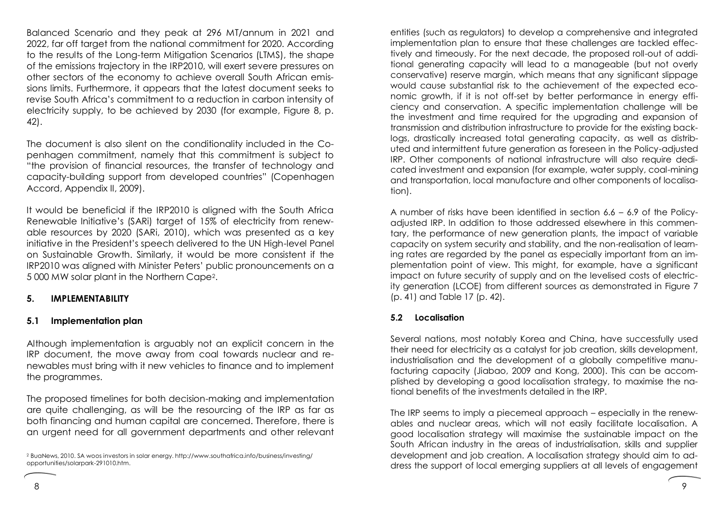Balanced Scenario and they peak at 296 MT/annum in 2021 and 2022, far off target from the national commitment for 2020. According to the results of the Long-term Mitigation Scenarios (LTMS), the shape of the emissions trajectory in the IRP2010, will exert severe pressures on other sectors of the economy to achieve overall South African emissions limits. Furthermore, it appears that the latest document seeks to revise South Africa's commitment to a reduction in carbon intensity of electricity supply, to be achieved by 2030 (for example, Figure 8, p. 42).

The document is also silent on the conditionality included in the Copenhagen commitment, namely that this commitment is subject to "the provision of financial resources, the transfer of technology and capacity-building support from developed countries" (Copenhagen Accord, Appendix II, 2009).

It would be beneficial if the IRP2010 is aligned with the South Africa Renewable Initiative's (SARi) target of 15% of electricity from renewable resources by 2020 (SARi, 2010), which was presented as a key initiative in the President's speech delivered to the UN High-level Panel on Sustainable Growth. Similarly, it would be more consistent if the IRP2010 was aligned with Minister Peters' public pronouncements on a 5 000 MW solar plant in the Northern Cape2.

## **5. IMPLEMENTABILITY**

## **5.1 Implementation plan**

Although implementation is arguably not an explicit concern in the IRP document, the move away from coal towards nuclear and renewables must bring with it new vehicles to finance and to implement the programmes.

The proposed timelines for both decision-making and implementation are quite challenging, as will be the resourcing of the IRP as far as both financing and human capital are concerned. Therefore, there is an urgent need for all government departments and other relevant

entities (such as regulators) to develop a comprehensive and integrated implementation plan to ensure that these challenges are tackled effectively and timeously. For the next decade, the proposed roll-out of additional generating capacity will lead to a manageable (but not overly conservative) reserve margin, which means that any significant slippage would cause substantial risk to the achievement of the expected economic growth, if it is not off-set by better performance in energy efficiency and conservation. A specific implementation challenge will be the investment and time required for the upgrading and expansion of transmission and distribution infrastructure to provide for the existing backlogs, drastically increased total generating capacity, as well as distributed and intermittent future generation as foreseen in the Policy-adjusted IRP. Other components of national infrastructure will also require dedicated investment and expansion (for example, water supply, coal-mining and transportation, local manufacture and other components of localisation).

A number of risks have been identified in section 6.6 – 6.9 of the Policyadjusted IRP. In addition to those addressed elsewhere in this commentary, the performance of new generation plants, the impact of variable capacity on system security and stability, and the non-realisation of learning rates are regarded by the panel as especially important from an implementation point of view. This might, for example, have a significant impact on future security of supply and on the levelised costs of electricity generation (LCOE) from different sources as demonstrated in Figure 7 (p. 41) and Table 17 (p. 42).

## **5.2 Localisation**

Several nations, most notably Korea and China, have successfully used their need for electricity as a catalyst for job creation, skills development, industrialisation and the development of a globally competitive manufacturing capacity (Jiabao, 2009 and Kong, 2000). This can be accomplished by developing a good localisation strategy, to maximise the national benefits of the investments detailed in the IRP.

The IRP seems to imply a piecemeal approach – especially in the renewables and nuclear areas, which will not easily facilitate localisation. A good localisation strategy will maximise the sustainable impact on the South African industry in the areas of industrialisation, skills and supplier development and job creation. A localisation strategy should aim to address the support of local emerging suppliers at all levels of engagement

<sup>2</sup> BuaNews, 2010. SA woos investors in solar energy. http://www.southafrica.info/business/investing/ opportunities/solarpark-291010.htm.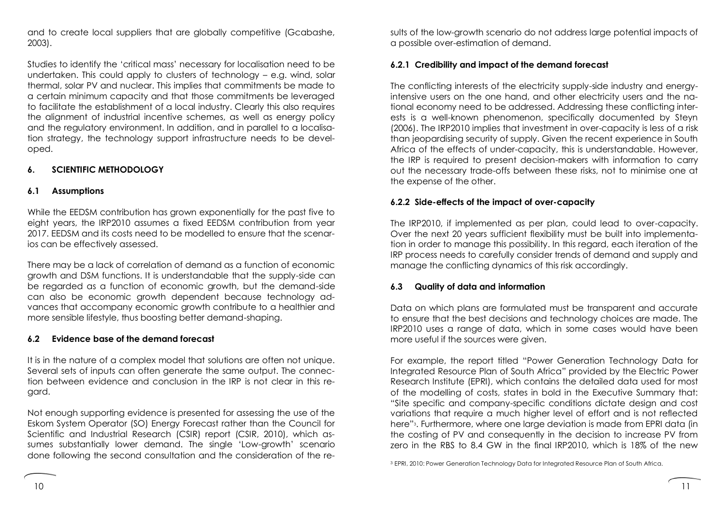and to create local suppliers that are globally competitive (Gcabashe, 2003).

Studies to identify the 'critical mass' necessary for localisation need to be undertaken. This could apply to clusters of technology – e.g. wind, solar thermal, solar PV and nuclear. This implies that commitments be made to a certain minimum capacity and that those commitments be leveraged to facilitate the establishment of a local industry. Clearly this also requires the alignment of industrial incentive schemes, as well as energy policy and the regulatory environment. In addition, and in parallel to a localisation strategy, the technology support infrastructure needs to be developed.

## **6. SCIENTIFIC METHODOLOGY**

## **6.1 Assumptions**

While the EEDSM contribution has grown exponentially for the past five to eight years, the IRP2010 assumes a fixed EEDSM contribution from year 2017. EEDSM and its costs need to be modelled to ensure that the scenarios can be effectively assessed.

There may be a lack of correlation of demand as a function of economic growth and DSM functions. It is understandable that the supply-side can be regarded as a function of economic growth, but the demand-side can also be economic growth dependent because technology advances that accompany economic growth contribute to a healthier and more sensible lifestyle, thus boosting better demand-shaping.

## **6.2 Evidence base of the demand forecast**

It is in the nature of a complex model that solutions are often not unique. Several sets of inputs can often generate the same output. The connection between evidence and conclusion in the IRP is not clear in this regard.

Not enough supporting evidence is presented for assessing the use of the Eskom System Operator (SO) Energy Forecast rather than the Council for Scientific and Industrial Research (CSIR) report (CSIR, 2010), which assumes substantially lower demand. The single 'Low-growth' scenario done following the second consultation and the consideration of the results of the low-growth scenario do not address large potential impacts of a possible over-estimation of demand.

# **6.2.1 Credibility and impact of the demand forecast**

The conflicting interests of the electricity supply-side industry and energyintensive users on the one hand, and other electricity users and the national economy need to be addressed. Addressing these conflicting interests is a well-known phenomenon, specifically documented by Steyn (2006). The IRP2010 implies that investment in over-capacity is less of a risk than jeopardising security of supply. Given the recent experience in South Africa of the effects of under-capacity, this is understandable. However, the IRP is required to present decision-makers with information to carry out the necessary trade-offs between these risks, not to minimise one at the expense of the other.

# **6.2.2 Side-effects of the impact of over-capacity**

The IRP2010, if implemented as per plan, could lead to over-capacity. Over the next 20 years sufficient flexibility must be built into implementation in order to manage this possibility. In this regard, each iteration of the IRP process needs to carefully consider trends of demand and supply and manage the conflicting dynamics of this risk accordingly.

# **6.3 Quality of data and information**

Data on which plans are formulated must be transparent and accurate to ensure that the best decisions and technology choices are made. The IRP2010 uses a range of data, which in some cases would have been more useful if the sources were given.

For example, the report titled "Power Generation Technology Data for Integrated Resource Plan of South Africa" provided by the Electric Power Research Institute (EPRI), which contains the detailed data used for most of the modelling of costs, states in bold in the Executive Summary that: "Site specific and company-specific conditions dictate design and cost variations that require a much higher level of effort and is not reflected here"3. Furthermore, where one large deviation is made from EPRI data (in the costing of PV and consequently in the decision to increase PV from zero in the RBS to 8.4 GW in the final IRP2010, which is 18% of the new

<sup>3</sup> EPRI, 2010: Power Generation Technology Data for Integrated Resource Plan of South Africa.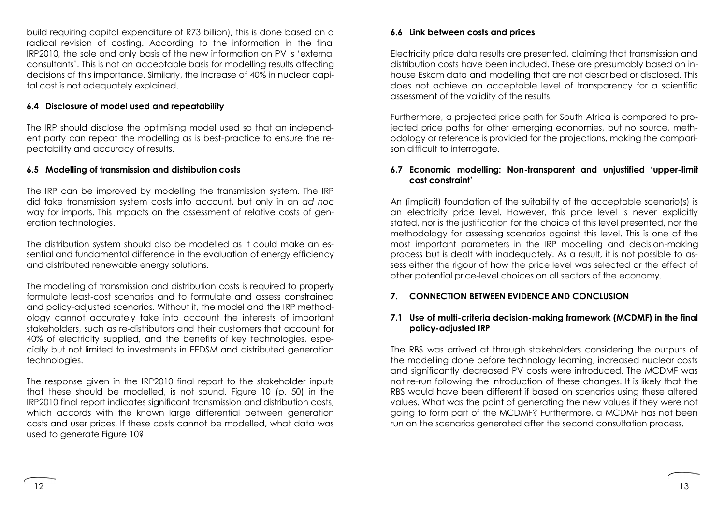build requiring capital expenditure of R73 billion), this is done based on a radical revision of costing. According to the information in the final IRP2010, the sole and only basis of the new information on PV is 'external consultants'. This is not an acceptable basis for modelling results affecting decisions of this importance. Similarly, the increase of 40% in nuclear capital cost is not adequately explained.

## **6.4 Disclosure of model used and repeatability**

The IRP should disclose the optimising model used so that an independent party can repeat the modelling as is best-practice to ensure the repeatability and accuracy of results.

### **6.5 Modelling of transmission and distribution costs**

The IRP can be improved by modelling the transmission system. The IRP did take transmission system costs into account, but only in an *ad hoc* way for imports. This impacts on the assessment of relative costs of generation technologies.

The distribution system should also be modelled as it could make an essential and fundamental difference in the evaluation of energy efficiency and distributed renewable energy solutions.

The modelling of transmission and distribution costs is required to properly formulate least-cost scenarios and to formulate and assess constrained and policy-adjusted scenarios. Without it, the model and the IRP methodology cannot accurately take into account the interests of important stakeholders, such as re-distributors and their customers that account for 40% of electricity supplied, and the benefits of key technologies, especially but not limited to investments in EEDSM and distributed generation technologies.

The response given in the IRP2010 final report to the stakeholder inputs that these should be modelled, is not sound. Figure 10 (p. 50) in the IRP2010 final report indicates significant transmission and distribution costs, which accords with the known large differential between generation costs and user prices. If these costs cannot be modelled, what data was used to generate Figure 10?

### **6.6 Link between costs and prices**

Electricity price data results are presented, claiming that transmission and distribution costs have been included. These are presumably based on inhouse Eskom data and modelling that are not described or disclosed. This does not achieve an acceptable level of transparency for a scientific assessment of the validity of the results.

Furthermore, a projected price path for South Africa is compared to projected price paths for other emerging economies, but no source, methodology or reference is provided for the projections, making the comparison difficult to interrogate.

### **6.7 Economic modelling: Non-transparent and unjustified 'upper-limit cost constraint'**

An (implicit) foundation of the suitability of the acceptable scenario(s) is an electricity price level. However, this price level is never explicitly stated, nor is the justification for the choice of this level presented, nor the methodology for assessing scenarios against this level. This is one of the most important parameters in the IRP modelling and decision-making process but is dealt with inadequately. As a result, it is not possible to assess either the rigour of how the price level was selected or the effect of other potential price-level choices on all sectors of the economy.

### **7. CONNECTION BETWEEN EVIDENCE AND CONCLUSION**

### **7.1 Use of multi-criteria decision-making framework (MCDMF) in the final policy-adjusted IRP**

The RBS was arrived at through stakeholders considering the outputs of the modelling done before technology learning, increased nuclear costs and significantly decreased PV costs were introduced. The MCDMF was not re-run following the introduction of these changes. It is likely that the RBS would have been different if based on scenarios using these altered values. What was the point of generating the new values if they were not going to form part of the MCDMF? Furthermore, a MCDMF has not been run on the scenarios generated after the second consultation process.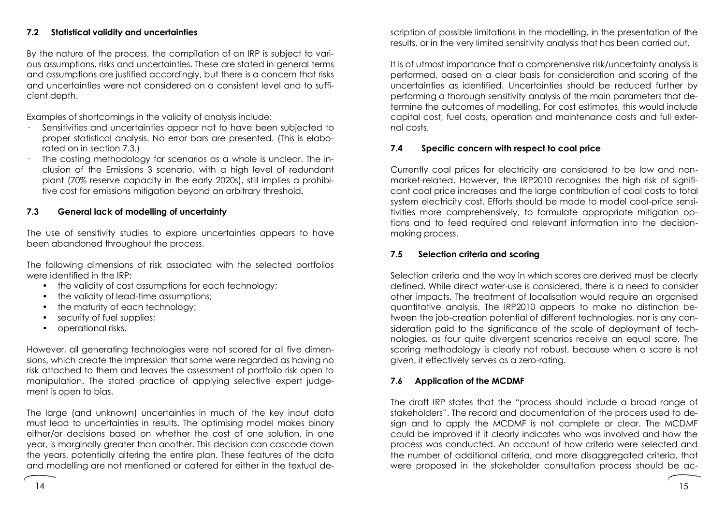## **7.2 Statistical validity and uncertainties**

By the nature of the process, the compilation of an IRP is subject to various assumptions, risks and uncertainties. These are stated in general terms and assumptions are justified accordingly, but there is a concern that risks and uncertainties were not considered on a consistent level and to sufficient depth.

Examples of shortcomings in the validity of analysis include:

- · Sensitivities and uncertainties appear not to have been subjected to proper statistical analysis. No error bars are presented. (This is elaborated on in section 7.3.)
- · The costing methodology for scenarios as a whole is unclear. The inclusion of the Emissions 3 scenario, with a high level of redundant plant (70% reserve capacity in the early 2020s), still implies a prohibitive cost for emissions mitigation beyond an arbitrary threshold.

## **7.3 General lack of modelling of uncertainty**

The use of sensitivity studies to explore uncertainties appears to have been abandoned throughout the process.

The following dimensions of risk associated with the selected portfolios were identified in the IRP:

- the validity of cost assumptions for each technology;
- the validity of lead-time assumptions;
- the maturity of each technology;
- security of fuel supplies;
- operational risks.

However, all generating technologies were not scored for all five dimensions, which create the impression that some were regarded as having no risk attached to them and leaves the assessment of portfolio risk open to manipulation. The stated practice of applying selective expert judgement is open to bias.

The large (and unknown) uncertainties in much of the key input data must lead to uncertainties in results. The optimising model makes binary either/or decisions based on whether the cost of one solution, in one year, is marginally greater than another. This decision can cascade down the years, potentially altering the entire plan. These features of the data and modelling are not mentioned or catered for either in the textual description of possible limitations in the modelling, in the presentation of the results, or in the very limited sensitivity analysis that has been carried out.

It is of utmost importance that a comprehensive risk/uncertainty analysis is performed, based on a clear basis for consideration and scoring of the uncertainties as identified. Uncertainties should be reduced further by performing a thorough sensitivity analysis of the main parameters that determine the outcomes of modelling. For cost estimates, this would include capital cost, fuel costs, operation and maintenance costs and full external costs.

## **7.4 Specific concern with respect to coal price**

Currently coal prices for electricity are considered to be low and nonmarket-related. However, the IRP2010 recognises the high risk of significant coal price increases and the large contribution of coal costs to total system electricity cost. Efforts should be made to model coal-price sensitivities more comprehensively, to formulate appropriate mitigation options and to feed required and relevant information into the decisionmaking process.

### **7.5 Selection criteria and scoring**

Selection criteria and the way in which scores are derived must be clearly defined. While direct water-use is considered, there is a need to consider other impacts. The treatment of localisation would require an organised quantitative analysis. The IRP2010 appears to make no distinction between the job-creation potential of different technologies, nor is any consideration paid to the significance of the scale of deployment of technologies, as four quite divergent scenarios receive an equal score. The scoring methodology is clearly not robust, because when a score is not given, it effectively serves as a zero-rating.

### **7.6 Application of the MCDMF**

The draft IRP states that the "process should include a broad range of stakeholders". The record and documentation of the process used to design and to apply the MCDMF is not complete or clear. The MCDMF could be improved if it clearly indicates who was involved and how the process was conducted. An account of how criteria were selected and the number of additional criteria, and more disaggregated criteria, that were proposed in the stakeholder consultation process should be ac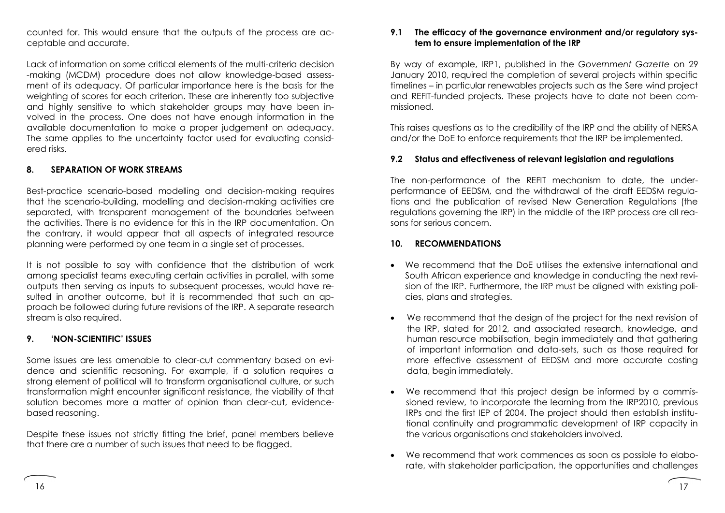counted for. This would ensure that the outputs of the process are acceptable and accurate.

Lack of information on some critical elements of the multi-criteria decision -making (MCDM) procedure does not allow knowledge-based assessment of its adequacy. Of particular importance here is the basis for the weighting of scores for each criterion. These are inherently too subjective and highly sensitive to which stakeholder groups may have been involved in the process. One does not have enough information in the available documentation to make a proper judgement on adequacy. The same applies to the uncertainty factor used for evaluating considered risks.

## **8. SEPARATION OF WORK STREAMS**

Best-practice scenario-based modelling and decision-making requires that the scenario-building, modelling and decision-making activities are separated, with transparent management of the boundaries between the activities. There is no evidence for this in the IRP documentation. On the contrary, it would appear that all aspects of integrated resource planning were performed by one team in a single set of processes.

It is not possible to say with confidence that the distribution of work among specialist teams executing certain activities in parallel, with some outputs then serving as inputs to subsequent processes, would have resulted in another outcome, but it is recommended that such an approach be followed during future revisions of the IRP. A separate research stream is also required.

### **9. 'NON-SCIENTIFIC' ISSUES**

Some issues are less amenable to clear-cut commentary based on evidence and scientific reasoning. For example, if a solution requires a strong element of political will to transform organisational culture, or such transformation might encounter significant resistance, the viability of that solution becomes more a matter of opinion than clear-cut, evidencebased reasoning.

Despite these issues not strictly fitting the brief, panel members believe that there are a number of such issues that need to be flagged.

### **9.1 The efficacy of the governance environment and/or regulatory system to ensure implementation of the IRP**

By way of example, IRP1, published in the *Government Gazette* on 29 January 2010, required the completion of several projects within specific timelines – in particular renewables projects such as the Sere wind project and REFIT-funded projects. These projects have to date not been commissioned.

This raises questions as to the credibility of the IRP and the ability of NERSA and/or the DoE to enforce requirements that the IRP be implemented.

## **9.2 Status and effectiveness of relevant legislation and regulations**

The non-performance of the REFIT mechanism to date, the underperformance of EEDSM, and the withdrawal of the draft EEDSM regulations and the publication of revised New Generation Regulations (the regulations governing the IRP) in the middle of the IRP process are all reasons for serious concern.

### **10. RECOMMENDATIONS**

- We recommend that the DoE utilises the extensive international and South African experience and knowledge in conducting the next revision of the IRP. Furthermore, the IRP must be aligned with existing policies, plans and strategies.
- We recommend that the design of the project for the next revision of the IRP, slated for 2012, and associated research, knowledge, and human resource mobilisation, begin immediately and that gathering of important information and data-sets, such as those required for more effective assessment of EEDSM and more accurate costing data, begin immediately.
- We recommend that this project design be informed by a commissioned review, to incorporate the learning from the IRP2010, previous IRPs and the first IEP of 2004. The project should then establish institutional continuity and programmatic development of IRP capacity in the various organisations and stakeholders involved.
- We recommend that work commences as soon as possible to elaborate, with stakeholder participation, the opportunities and challenges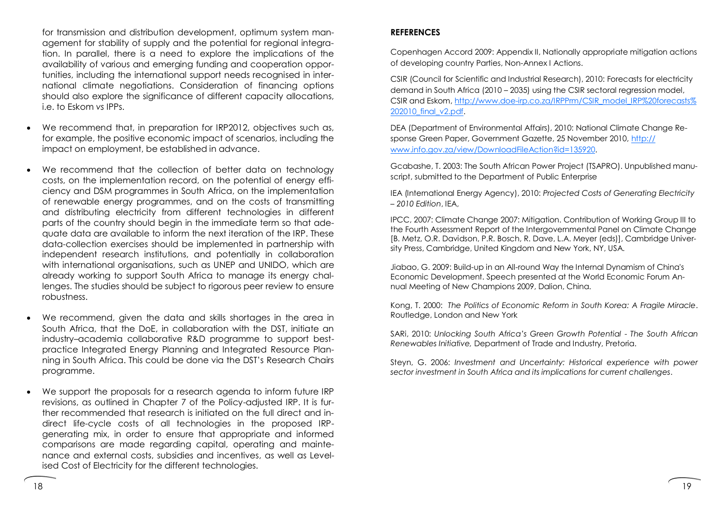for transmission and distribution development, optimum system management for stability of supply and the potential for regional integration. In parallel, there is a need to explore the implications of the availability of various and emerging funding and cooperation opportunities, including the international support needs recognised in international climate negotiations. Consideration of financing options should also explore the significance of different capacity allocations, i.e. to Eskom *vs* IPPs.

- We recommend that, in preparation for IRP2012, objectives such as, for example, the positive economic impact of scenarios, including the impact on employment, be established in advance.
- We recommend that the collection of better data on technology costs, on the implementation record, on the potential of energy efficiency and DSM programmes in South Africa, on the implementation of renewable energy programmes, and on the costs of transmitting and distributing electricity from different technologies in different parts of the country should begin in the immediate term so that adequate data are available to inform the next iteration of the IRP. These data-collection exercises should be implemented in partnership with independent research institutions, and potentially in collaboration with international organisations, such as UNEP and UNIDO, which are already working to support South Africa to manage its energy challenges. The studies should be subject to rigorous peer review to ensure robustness.
- We recommend, given the data and skills shortages in the area in South Africa, that the DoE, in collaboration with the DST, initiate an industry–academia collaborative R&D programme to support bestpractice Integrated Energy Planning and Integrated Resource Planning in South Africa. This could be done via the DST's Research Chairs programme.
- We support the proposals for a research agenda to inform future IRP revisions, as outlined in Chapter 7 of the Policy-adjusted IRP. It is further recommended that research is initiated on the full direct and indirect life-cycle costs of all technologies in the proposed IRPgenerating mix, in order to ensure that appropriate and informed comparisons are made regarding capital, operating and maintenance and external costs, subsidies and incentives, as well as Levelised Cost of Electricity for the different technologies.

# **REFERENCES**

Copenhagen Accord 2009: Appendix II, Nationally appropriate mitigation actions of developing country Parties, Non-Annex I Actions.

CSIR (Council for Scientific and Industrial Research), 2010: Forecasts for electricity demand in South Africa (2010 – 2035) using the CSIR sectoral regression model, CSIR and Eskom, [http://www.doe-irp.co.za/IRPPrm/CSIR\\_model\\_IRP%20forecasts%](http://www.doe-irp.co.za/IRPPrm/CSIR_model_IRP%20forecasts%202010_final_v2.pdf) [202010\\_final\\_v2.pdf.](http://www.doe-irp.co.za/IRPPrm/CSIR_model_IRP%20forecasts%202010_final_v2.pdf)

DEA (Department of Environmental Affairs), 2010: National Climate Change Response Green Paper, Government Gazette, 25 November 2010, [http://](http://www.info.gov.za/view/DownloadFileAction?id=135920) [www.info.gov.za/view/DownloadFileAction?id=135920.](http://www.info.gov.za/view/DownloadFileAction?id=135920) 

Gcabashe, T. 2003: The South African Power Project (TSAPRO). Unpublished manuscript, submitted to the Department of Public Enterprise

IEA (International Energy Agency), 2010: *Projected Costs of Generating Electricity – 2010 Edition*, IEA,

IPCC, 2007: Climate Change 2007: Mitigation. Contribution of Working Group III to the Fourth Assessment Report of the Intergovernmental Panel on Climate Change [B. Metz, O.R. Davidson, P.R. Bosch, R. Dave, L.A. Meyer (eds)], Cambridge University Press, Cambridge, United Kingdom and New York, NY, USA.

Jiabao, G. 2009: Build-up in an All-round Way the Internal Dynamism of China's Economic Development. Speech presented at the World Economic Forum Annual Meeting of New Champions 2009, Dalion, China.

Kong, T. 2000: *The Politics of Economic Reform in South Korea: A Fragile Miracle*. Routledge, London and New York

SARi, 2010: *Unlocking South Africa's Green Growth Potential - The South African Renewables Initiative,* Department of Trade and Industry, Pretoria.

Steyn, G. 2006: *Investment and Uncertainty: Historical experience with power sector investment in South Africa and its implications for current challenges*.